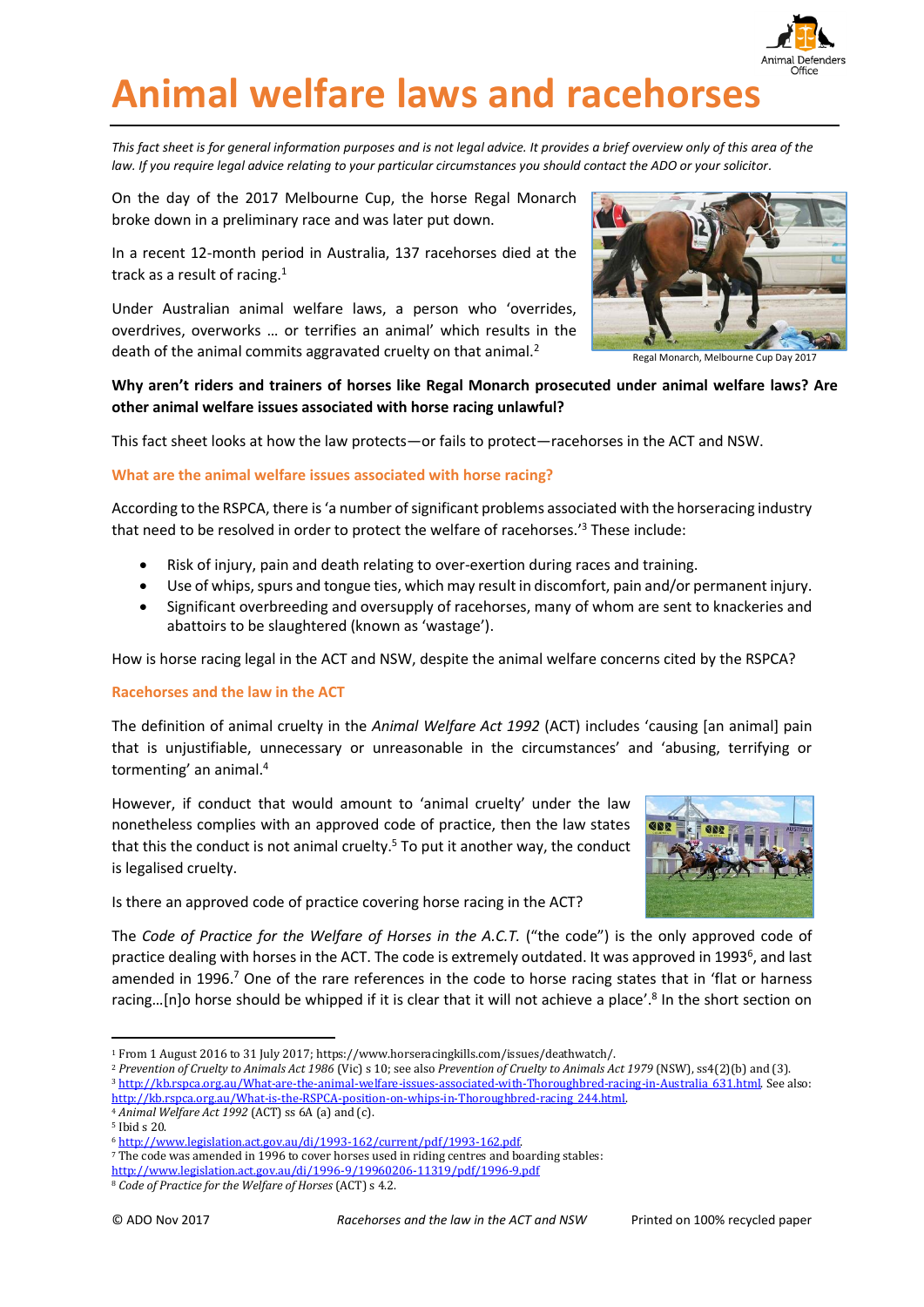

# **Animal welfare laws and racehorses**

*This fact sheet is for general information purposes and is not legal advice. It provides a brief overview only of this area of the law. If you require legal advice relating to your particular circumstances you should contact the ADO or your solicitor.*

On the day of the 2017 Melbourne Cup, the horse Regal Monarch broke down in a preliminary race and was later put down.

In a recent 12-month period in Australia, 137 racehorses died at the track as a result of racing. $1$ 

Under Australian animal welfare laws, a person who 'overrides, overdrives, overworks … or terrifies an animal' which results in the death of the animal commits aggravated cruelty on that animal.<sup>2</sup>



Regal Monarch, Melbourne Cup Day 2017

## **Why aren't riders and trainers of horses like Regal Monarch prosecuted under animal welfare laws? Are other animal welfare issues associated with horse racing unlawful?**

This fact sheet looks at how the law protects—or fails to protect—racehorses in the ACT and NSW.

## **What are the animal welfare issues associated with horse racing?**

According to the RSPCA, there is 'a number of significant problems associated with the horseracing industry that need to be resolved in order to protect the welfare of racehorses.' <sup>3</sup> These include:

- Risk of injury, pain and death relating to over-exertion during races and training.
- Use of whips, spurs and tongue ties, which may result in discomfort, pain and/or permanent injury.
- Significant overbreeding and oversupply of racehorses, many of whom are sent to knackeries and abattoirs to be slaughtered (known as 'wastage').

How is horse racing legal in the ACT and NSW, despite the animal welfare concerns cited by the RSPCA?

### **Racehorses and the law in the ACT**

The definition of animal cruelty in the *Animal Welfare Act 1992* (ACT) includes 'causing [an animal] pain that is unjustifiable, unnecessary or unreasonable in the circumstances' and 'abusing, terrifying or tormenting' an animal.<sup>4</sup>

However, if conduct that would amount to 'animal cruelty' under the law nonetheless complies with an approved code of practice, then the law states that this the conduct is not animal cruelty. <sup>5</sup> To put it another way, the conduct is legalised cruelty.



Is there an approved code of practice covering horse racing in the ACT?

The *Code of Practice for the Welfare of Horses in the A.C.T.* ("the code") is the only approved code of practice dealing with horses in the ACT. The code is extremely outdated. It was approved in 1993<sup>6</sup>, and last amended in 1996.<sup>7</sup> One of the rare references in the code to horse racing states that in 'flat or harness racing...[n]o horse should be whipped if it is clear that it will not achieve a place'.<sup>8</sup> In the short section on

<sup>2</sup> *Prevention of Cruelty to Animals Act 1986* (Vic) s 10; see also *Prevention of Cruelty to Animals Act 1979* (NSW), ss4(2)(b) and (3).

<u>.</u>

<sup>7</sup> The code was amended in 1996 to cover horses used in riding centres and boarding stables:

<sup>1</sup> From 1 August 2016 to 31 July 2017; https://www.horseracingkills.com/issues/deathwatch/.

<sup>3</sup> http://kb.rspca.org.au/What-are-the-animal-welfare-issues-associated-with-Thoroughbred-racing-in-Australia 631.html. See also: [http://kb.rspca.org.au/What-is-the-RSPCA-position-on-whips-in-Thoroughbred-racing\\_244.html.](http://kb.rspca.org.au/What-is-the-RSPCA-position-on-whips-in-Thoroughbred-racing_244.html) 

<sup>4</sup> *Animal Welfare Act 1992* (ACT) ss 6A (a) and (c).

<sup>5</sup> Ibid s 20.

<sup>6</sup> [http://www.legislation.act.gov.au/di/1993-162/current/pdf/1993-162.pdf.](http://www.legislation.act.gov.au/di/1993-162/current/pdf/1993-162.pdf)

<http://www.legislation.act.gov.au/di/1996-9/19960206-11319/pdf/1996-9.pdf>

<sup>8</sup> *Code of Practice for the Welfare of Horses* (ACT) s 4.2.